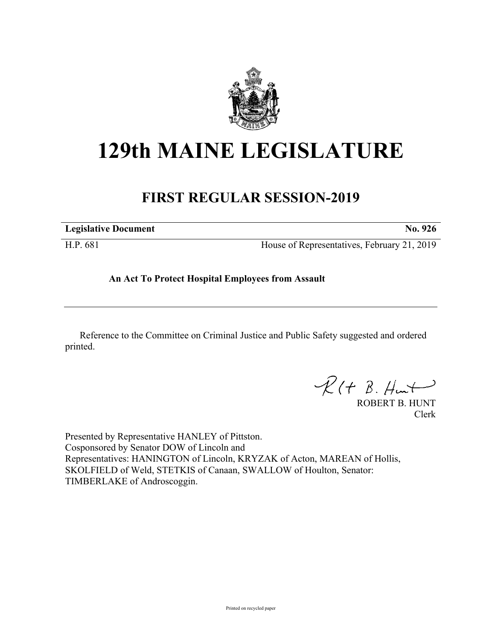

## **129th MAINE LEGISLATURE**

## **FIRST REGULAR SESSION-2019**

| <b>Legislative Document</b> | No. 926                                     |
|-----------------------------|---------------------------------------------|
| H.P. 681                    | House of Representatives, February 21, 2019 |

## **An Act To Protect Hospital Employees from Assault**

Reference to the Committee on Criminal Justice and Public Safety suggested and ordered printed.

 $R(H B. H<sub>un</sub>)$ 

ROBERT B. HUNT Clerk

Presented by Representative HANLEY of Pittston. Cosponsored by Senator DOW of Lincoln and Representatives: HANINGTON of Lincoln, KRYZAK of Acton, MAREAN of Hollis, SKOLFIELD of Weld, STETKIS of Canaan, SWALLOW of Houlton, Senator: TIMBERLAKE of Androscoggin.